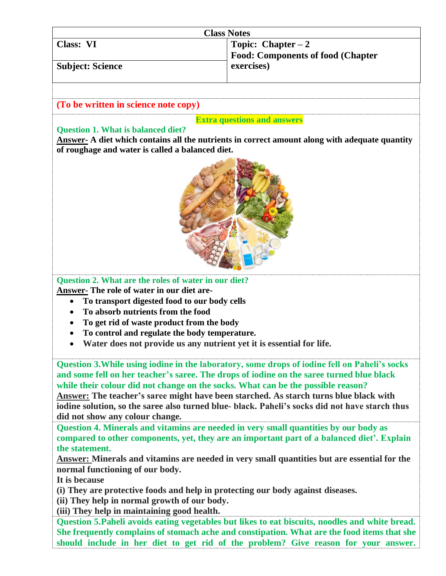| <b>Class Notes</b>      |                                           |
|-------------------------|-------------------------------------------|
| Class: VI               | Topic: Chapter $-2$                       |
|                         | <b>Food: Components of food (Chapter)</b> |
| <b>Subject: Science</b> | exercises)                                |
|                         |                                           |

## **(To be written in science note copy)**

## **Extra questions and answers**

## **Question 1. What is balanced diet?**

**Answer- A diet which contains all the nutrients in correct amount along with adequate quantity of roughage and water is called a balanced diet.**



## **Question 2. What are the roles of water in our diet?**

**Answer- The role of water in our diet are-**

- **To transport digested food to our body cells**
- **To absorb nutrients from the food**
- **To get rid of waste product from the body**
- **To control and regulate the body temperature.**
- **Water does not provide us any nutrient yet it is essential for life.**

**Question 3.While using iodine in the laboratory, some drops of iodine fell on Paheli's socks and some fell on her teacher's saree. The drops of iodine on the saree turned blue black while their colour did not change on the socks. What can be the possible reason?**

**Answer: The teacher's saree might have been starched. As starch turns blue black with iodine solution, so the saree also turned blue- black. Paheli's socks did not have starch thus did not show any colour change.**

**Question 4. Minerals and vitamins are needed in very small quantities by our body as compared to other components, yet, they are an important part of a balanced diet'. Explain the statement.**

**Answer: Minerals and vitamins are needed in very small quantities but are essential for the normal functioning of our body.** 

**It is because** 

**(i) They are protective foods and help in protecting our body against diseases.**

**(ii) They help in normal growth of our body.**

**(iii) They help in maintaining good health.**

**Question 5.Paheli avoids eating vegetables but likes to eat biscuits, noodles and white bread. She frequently complains of stomach ache and constipation. What are the food items that she should include in her diet to get rid of the problem? Give reason for your answer.**